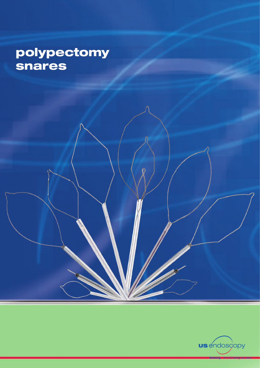## polypectomy **snares**

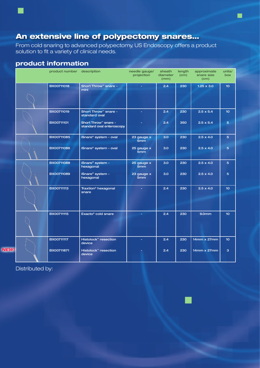## An extensive line of polypectomy snares…

From cold snaring to advanced polypectomy, US Endoscopy offers a product solution to fit a variety of clinical needs.

## **product information**

| product number description |                                                               | needle gauge/<br>projection   | sheath<br>diameter<br>(mm) | length<br>(cm) | approximate<br>snare size<br>(cm) | units/<br>box    |
|----------------------------|---------------------------------------------------------------|-------------------------------|----------------------------|----------------|-----------------------------------|------------------|
| <b>BX00711018</b>          | Short Throw <sup>™</sup> snare -<br>mini                      |                               | 2.4                        | 230            | $1.25 \times 3.0$                 | 10 <sub>10</sub> |
| BX00711019                 | Short Throw <sup>™</sup> snare -<br>standard oval             |                               | 2.4                        | 230            | $2.5 \times 5.4$                  | 10 <sub>1</sub>  |
| BX00711101                 | Short Throw <sup>™</sup> snare -<br>standard oval enteroscopy |                               | 2.4                        | 350            | $2.5 \times 5.4$                  | 5                |
| BX00711085                 | iSnare® system - oval                                         | 23 gauge x<br>5mm             | 3.0 <sub>2</sub>           | 230            | $2.5 \times 4.0$                  | 5                |
| BX00711086                 | iSnare® system - oval                                         | 25 gauge x<br>5 <sub>mm</sub> | 3.0                        | 230            | $2.5 \times 4.0$                  | 5                |
| <b>BX00711088</b>          | iSnare® system -<br>hexagonal                                 | 25 gauge x<br>5mm             | 3.0 <sub>2</sub>           | 230            | $2.5 \times 4.0$                  | $5\phantom{1}$   |
| <b>BX00711089</b>          | iSnare® system -<br>hexagonal                                 | 23 gauge x<br>5 <sub>mm</sub> | 3.0                        | 230            | $2.5 \times 4.0$                  | 5                |
| <b>BX00711113</b>          | Traxtion <sup>®</sup> hexagonal<br>snare                      |                               | 2.4                        | 230            | $2.5 \times 4.0$                  | 10 <sub>10</sub> |
| <b>BX00711115</b>          | Exacto <sup>®</sup> cold snare                                |                               | 2.4                        | 230            | 9.0 <sub>mm</sub>                 | 10 <sub>1</sub>  |
| <b>BX00711117</b>          | Histolock™ resection<br>device                                |                               | 2.4                        | 230            | 14mm x 27mm                       | 10 <sub>10</sub> |
| BX00711871                 | Histolock <sup>™</sup> resection<br>device                    |                               | 2.4                        | 230            | 14mm x 27mm                       | 3                |

Distributed by:

*NEW!*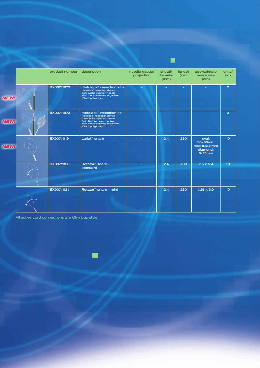|             | product number description |                                                                                                                                                                                                                                           | needle gauge/<br>projection | sheath<br>diameter<br>(mm) | length<br>(cm) | approximate<br>snare size<br>(cm)                      | units/<br>box   |
|-------------|----------------------------|-------------------------------------------------------------------------------------------------------------------------------------------------------------------------------------------------------------------------------------------|-----------------------------|----------------------------|----------------|--------------------------------------------------------|-----------------|
| <b>NEW!</b> | BX00711872                 | Histolock™ resection kit -<br>Histolock <sup>™</sup> resection device<br>Carr-Locke injection needle<br>Mio <sup>®</sup> medical device organizer<br>eTrap <sup>®</sup> polyp trap                                                        |                             |                            |                |                                                        | 3               |
| <b>NEW!</b> | <b>BX00711873</b>          | Histolock <sup>™</sup> resection kit -<br>Histolock <sup>™</sup> resection device<br>Carr-Locke injection needle<br>Roth Net <sup>®</sup> retriever - polyp<br>Mio <sup>®</sup> medical device organizer<br>eTrap <sup>®</sup> polyp trap |                             |                            |                |                                                        | 3               |
| <b>NEW!</b> | <b>BX00711119</b>          | Lariat <sup>™</sup> snare                                                                                                                                                                                                                 |                             | 2.4                        | 230            | oval:<br>30x50mm<br>hex: 10x28mm<br>diamond:<br>6x15mm | 10 <sub>1</sub> |
|             | <b>BX00711120</b>          | Rotator <sup>™</sup> snare -<br>standard                                                                                                                                                                                                  |                             | 2.4                        | 230            | $2.5 \times 5.4$                                       | 10 <sub>1</sub> |
|             | <b>BX00711121</b>          | Rotator <sup>™</sup> snare - mini                                                                                                                                                                                                         |                             | 2.4                        | 230            | $1.25 \times 3.0$                                      | 10 <sub>1</sub> |

 $\blacksquare$ 

All active cord connections are Olympus style